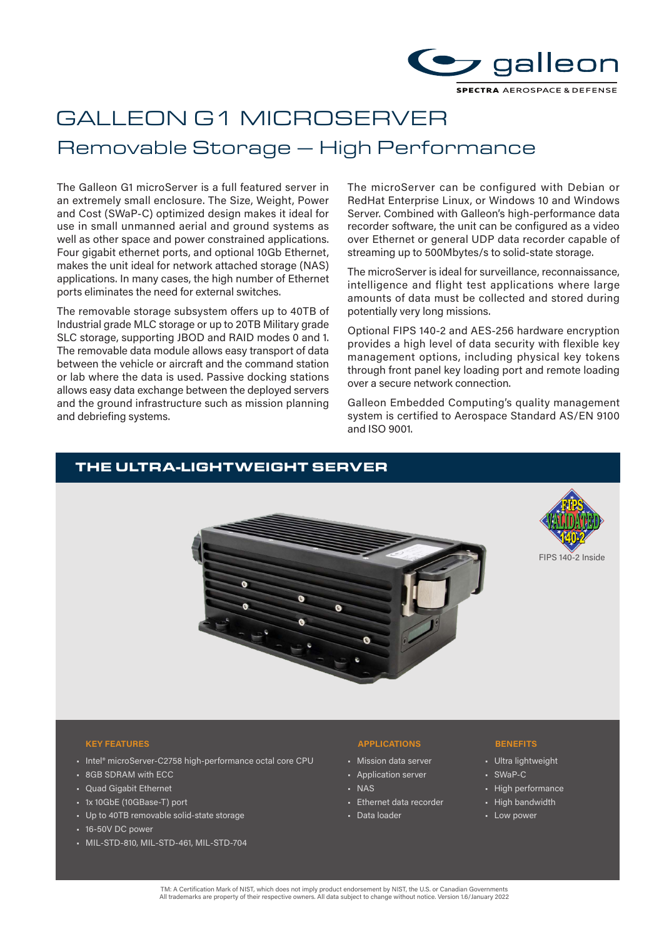

# GALLEON G1 MICROSERVER Removable Storage – High Performance

The Galleon G1 microServer is a full featured server in an extremely small enclosure. The Size, Weight, Power and Cost (SWaP-C) optimized design makes it ideal for use in small unmanned aerial and ground systems as well as other space and power constrained applications. Four gigabit ethernet ports, and optional 10Gb Ethernet, makes the unit ideal for network attached storage (NAS) applications. In many cases, the high number of Ethernet ports eliminates the need for external switches.

The removable storage subsystem offers up to 40TB of Industrial grade MLC storage or up to 20TB Military grade SLC storage, supporting JBOD and RAID modes 0 and 1. The removable data module allows easy transport of data between the vehicle or aircraft and the command station or lab where the data is used. Passive docking stations allows easy data exchange between the deployed servers and the ground infrastructure such as mission planning and debriefing systems.

The microServer can be configured with Debian or RedHat Enterprise Linux, or Windows 10 and Windows Server. Combined with Galleon's high-performance data recorder software, the unit can be configured as a video over Ethernet or general UDP data recorder capable of streaming up to 500Mbytes/s to solid-state storage.

The microServer is ideal for surveillance, reconnaissance, intelligence and flight test applications where large amounts of data must be collected and stored during potentially very long missions.

Optional FIPS 140-2 and AES-256 hardware encryption provides a high level of data security with flexible key management options, including physical key tokens through front panel key loading port and remote loading over a secure network connection.

Galleon Embedded Computing's quality management system is certified to Aerospace Standard AS/EN 9100 and ISO 9001.

# THE ULTRA-LIGHTWEIGHT SERVER





#### **KEY FEATURES APPLICATIONS BENEFITS**

- Intel® microServer-C2758 high-performance octal core CPU
- 8GB SDRAM with ECC
- Quad Gigabit Ethernet
- 1x 10GbE (10GBase-T) port
- Up to 40TB removable solid-state storage
- 16-50V DC power
- MIL-STD-810, MIL-STD-461, MIL-STD-704

- Mission data server
- Application server
- NAS
- Ethernet data recorder
- Data loader

- Ultra lightweight
- SWaP-C
- High performance
- High bandwidth
- Low power